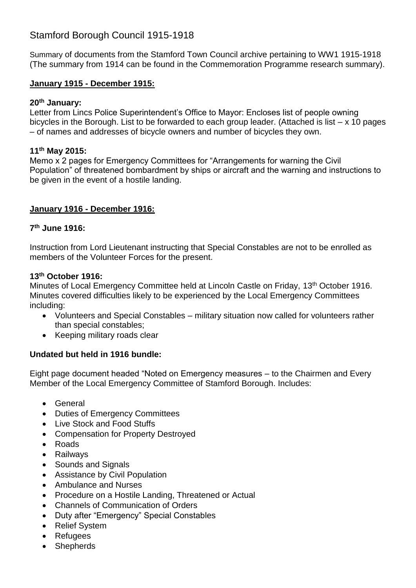# Stamford Borough Council 1915-1918

Summary of documents from the Stamford Town Council archive pertaining to WW1 1915-1918 (The summary from 1914 can be found in the Commemoration Programme research summary).

### **January 1915 - December 1915:**

#### **20th January:**

Letter from Lincs Police Superintendent's Office to Mayor: Encloses list of people owning bicycles in the Borough. List to be forwarded to each group leader. (Attached is list – x 10 pages – of names and addresses of bicycle owners and number of bicycles they own.

#### **11th May 2015:**

Memo x 2 pages for Emergency Committees for "Arrangements for warning the Civil Population" of threatened bombardment by ships or aircraft and the warning and instructions to be given in the event of a hostile landing.

### **January 1916 - December 1916:**

### **7 th June 1916:**

Instruction from Lord Lieutenant instructing that Special Constables are not to be enrolled as members of the Volunteer Forces for the present.

#### **13th October 1916:**

Minutes of Local Emergency Committee held at Lincoln Castle on Friday, 13<sup>th</sup> October 1916. Minutes covered difficulties likely to be experienced by the Local Emergency Committees including:

- Volunteers and Special Constables military situation now called for volunteers rather than special constables;
- Keeping military roads clear

### **Undated but held in 1916 bundle:**

Eight page document headed "Noted on Emergency measures – to the Chairmen and Every Member of the Local Emergency Committee of Stamford Borough. Includes:

- General
- Duties of Emergency Committees
- Live Stock and Food Stuffs
- Compensation for Property Destroyed
- Roads
- Railways
- Sounds and Signals
- Assistance by Civil Population
- Ambulance and Nurses
- Procedure on a Hostile Landing, Threatened or Actual
- Channels of Communication of Orders
- Duty after "Emergency" Special Constables
- Relief System
- Refugees
- **Shepherds**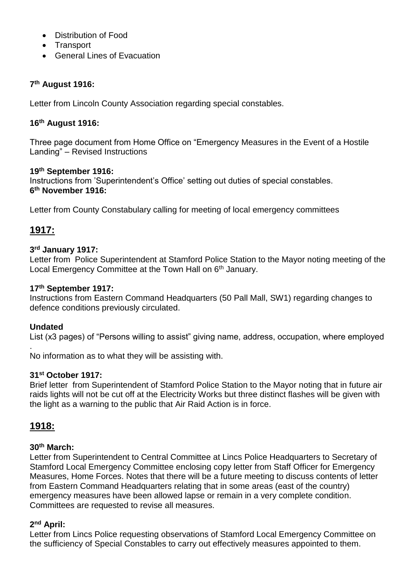- Distribution of Food
- Transport
- General Lines of Evacuation

### **7 th August 1916:**

Letter from Lincoln County Association regarding special constables.

#### **16th August 1916:**

Three page document from Home Office on "Emergency Measures in the Event of a Hostile Landing" – Revised Instructions

#### **19th September 1916:**

Instructions from 'Superintendent's Office' setting out duties of special constables. **6 th November 1916:**

Letter from County Constabulary calling for meeting of local emergency committees

# **1917:**

#### **3 rd January 1917:**

Letter from Police Superintendent at Stamford Police Station to the Mayor noting meeting of the Local Emergency Committee at the Town Hall on 6<sup>th</sup> January.

#### **17th September 1917:**

Instructions from Eastern Command Headquarters (50 Pall Mall, SW1) regarding changes to defence conditions previously circulated.

#### **Undated**

.

List (x3 pages) of "Persons willing to assist" giving name, address, occupation, where employed

No information as to what they will be assisting with.

#### **31st October 1917:**

Brief letter from Superintendent of Stamford Police Station to the Mayor noting that in future air raids lights will not be cut off at the Electricity Works but three distinct flashes will be given with the light as a warning to the public that Air Raid Action is in force.

# **1918:**

#### **30th March:**

Letter from Superintendent to Central Committee at Lincs Police Headquarters to Secretary of Stamford Local Emergency Committee enclosing copy letter from Staff Officer for Emergency Measures, Home Forces. Notes that there will be a future meeting to discuss contents of letter from Eastern Command Headquarters relating that in some areas (east of the country) emergency measures have been allowed lapse or remain in a very complete condition. Committees are requested to revise all measures.

#### **2 nd April:**

Letter from Lincs Police requesting observations of Stamford Local Emergency Committee on the sufficiency of Special Constables to carry out effectively measures appointed to them.